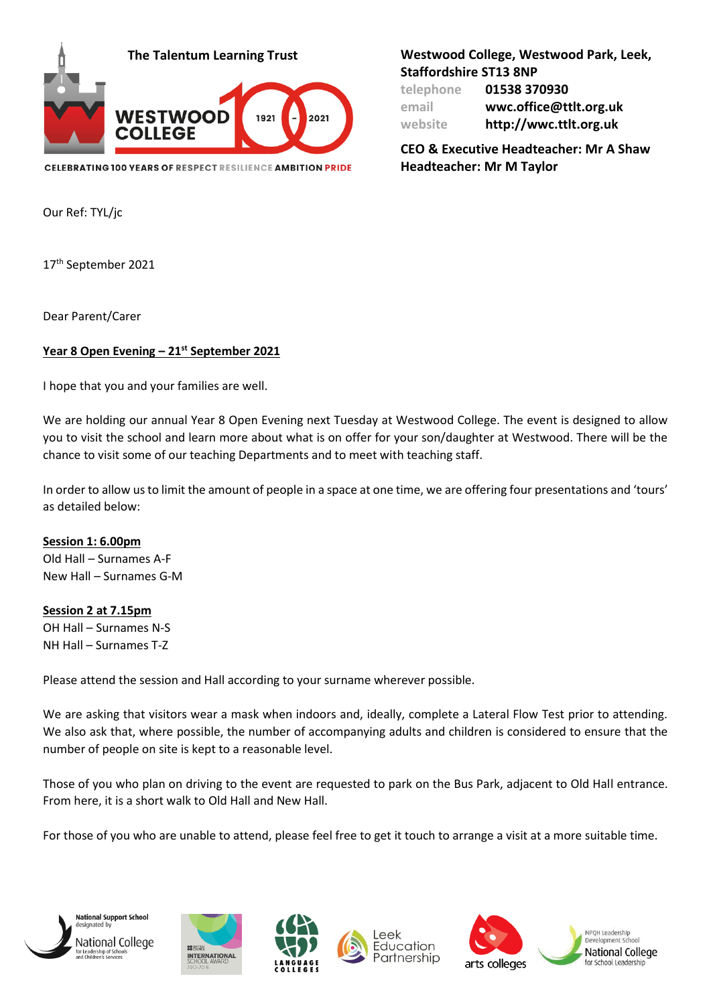

**CELEBRATING 100 YEARS OF RESPECT RESILIENCE AMBITION PRIDE** 

**The Talentum Learning Trust Westwood College, Westwood Park, Leek, Staffordshire ST13 8NP**

| telephone | 01538 370930           |
|-----------|------------------------|
| email     | wwc.office@ttlt.org.uk |
| website   | http://wwc.ttlt.org.uk |

**CEO & Executive Headteacher: Mr A Shaw Headteacher: Mr M Taylor**

Our Ref: TYL/jc

17<sup>th</sup> September 2021

Dear Parent/Carer

## **Year 8 Open Evening – 21st September 2021**

I hope that you and your families are well.

We are holding our annual Year 8 Open Evening next Tuesday at Westwood College. The event is designed to allow you to visit the school and learn more about what is on offer for your son/daughter at Westwood. There will be the chance to visit some of our teaching Departments and to meet with teaching staff.

In order to allow us to limit the amount of people in a space at one time, we are offering four presentations and 'tours' as detailed below:

**Session 1: 6.00pm** Old Hall – Surnames A-F New Hall – Surnames G-M

**Session 2 at 7.15pm** OH Hall – Surnames N-S

NH Hall – Surnames T-Z

Please attend the session and Hall according to your surname wherever possible.

We are asking that visitors wear a mask when indoors and, ideally, complete a Lateral Flow Test prior to attending. We also ask that, where possible, the number of accompanying adults and children is considered to ensure that the number of people on site is kept to a reasonable level.

Those of you who plan on driving to the event are requested to park on the Bus Park, adjacent to Old Hall entrance. From here, it is a short walk to Old Hall and New Hall.

For those of you who are unable to attend, please feel free to get it touch to arrange a visit at a more suitable time.